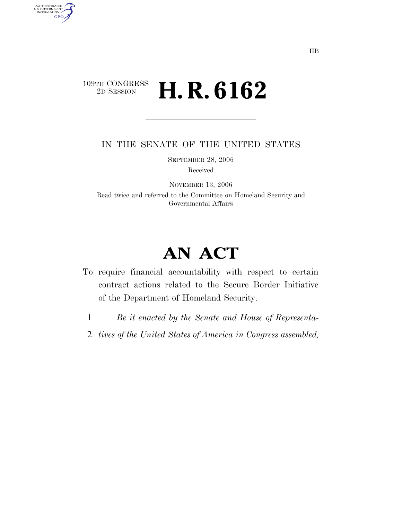## $\begin{array}{c} \text{109TH CONGRESS} \\ \text{2D Session} \end{array}$ 2D SESSION **H. R. 6162**

AUTHENTICATED<br>U.S. GOVERNMENT<br>INFORMATION GPO

IN THE SENATE OF THE UNITED STATES

SEPTEMBER 28, 2006

Received

NOVEMBER 13, 2006 Read twice and referred to the Committee on Homeland Security and Governmental Affairs

## **AN ACT**

- To require financial accountability with respect to certain contract actions related to the Secure Border Initiative of the Department of Homeland Security.
	- 1 *Be it enacted by the Senate and House of Representa-*
	- 2 *tives of the United States of America in Congress assembled,*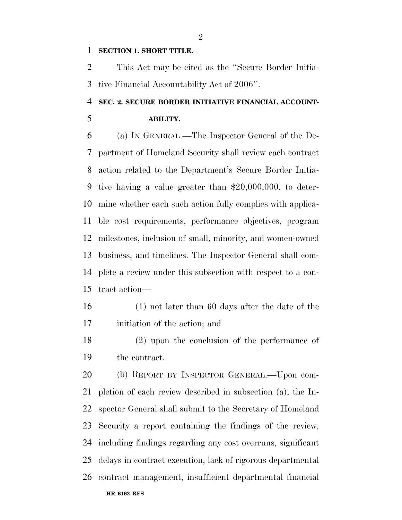## **SECTION 1. SHORT TITLE.**

 This Act may be cited as the ''Secure Border Initia-tive Financial Accountability Act of 2006''.

## **SEC. 2. SECURE BORDER INITIATIVE FINANCIAL ACCOUNT-**

**ABILITY.** 

 (a) IN GENERAL.—The Inspector General of the De- partment of Homeland Security shall review each contract action related to the Department's Secure Border Initia- tive having a value greater than \$20,000,000, to deter- mine whether each such action fully complies with applica- ble cost requirements, performance objectives, program milestones, inclusion of small, minority, and women-owned business, and timelines. The Inspector General shall com- plete a review under this subsection with respect to a con-tract action—

- (1) not later than 60 days after the date of the initiation of the action; and
- (2) upon the conclusion of the performance of the contract.

**HR 6162 RFS** (b) REPORT BY INSPECTOR GENERAL.—Upon com- pletion of each review described in subsection (a), the In- spector General shall submit to the Secretary of Homeland Security a report containing the findings of the review, including findings regarding any cost overruns, significant delays in contract execution, lack of rigorous departmental contract management, insufficient departmental financial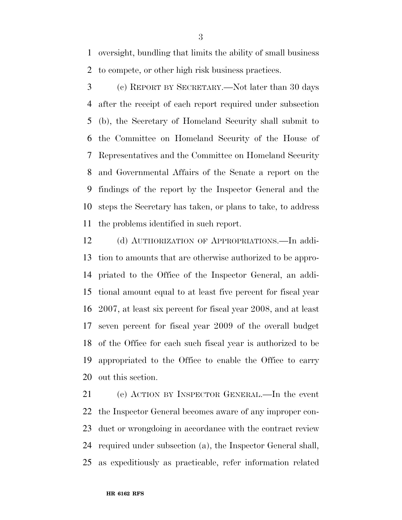oversight, bundling that limits the ability of small business to compete, or other high risk business practices.

 (c) REPORT BY SECRETARY.—Not later than 30 days after the receipt of each report required under subsection (b), the Secretary of Homeland Security shall submit to the Committee on Homeland Security of the House of Representatives and the Committee on Homeland Security and Governmental Affairs of the Senate a report on the findings of the report by the Inspector General and the steps the Secretary has taken, or plans to take, to address the problems identified in such report.

 (d) AUTHORIZATION OF APPROPRIATIONS.—In addi- tion to amounts that are otherwise authorized to be appro- priated to the Office of the Inspector General, an addi- tional amount equal to at least five percent for fiscal year 2007, at least six percent for fiscal year 2008, and at least seven percent for fiscal year 2009 of the overall budget of the Office for each such fiscal year is authorized to be appropriated to the Office to enable the Office to carry out this section.

 (e) ACTION BY INSPECTOR GENERAL.—In the event the Inspector General becomes aware of any improper con- duct or wrongdoing in accordance with the contract review required under subsection (a), the Inspector General shall, as expeditiously as practicable, refer information related